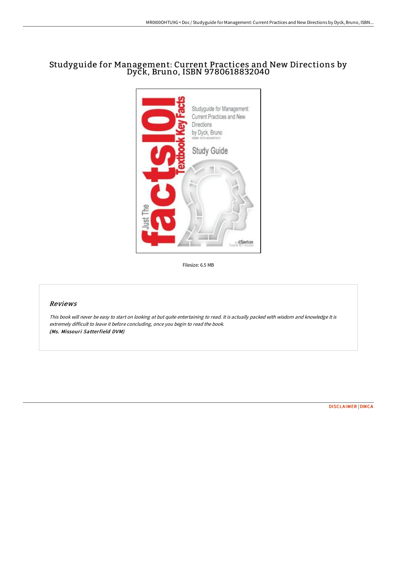# Studyguide for Management: Current Practices and New Directions by Dyck, Bruno, ISBN 9780618832040



Filesize: 6.5 MB

## Reviews

This book will never be easy to start on looking at but quite entertaining to read. It is actually packed with wisdom and knowledge It is extremely difficult to leave it before concluding, once you begin to read the book. (Ms. Missouri Satterfield DVM)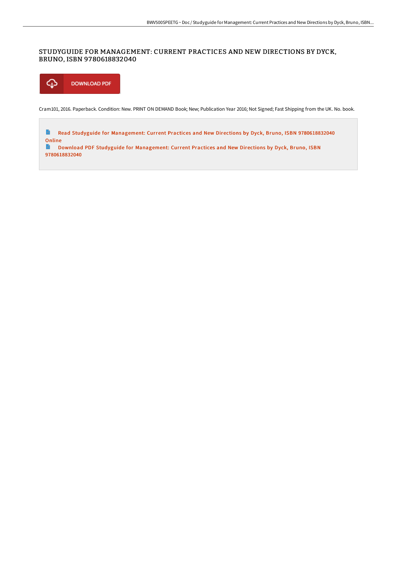### STUDYGUIDE FOR MANAGEMENT: CURRENT PRACTICES AND NEW DIRECTIONS BY DYCK, BRUNO, ISBN 9780618832040



Cram101, 2016. Paperback. Condition: New. PRINT ON DEMAND Book; New; Publication Year 2016; Not Signed; Fast Shipping from the UK. No. book.

 $\Rightarrow$ Read Studyguide for Management: Current Practices and New Directions by Dyck, Bruno, ISBN [9780618832040](http://www.bookdirs.com/studyguide-for-management-current-practices-and-.html) Online

 $\blacksquare$ Download PDF Studyguide for Management: Current Practices and New Directions by Dyck, Bruno, ISBN [9780618832040](http://www.bookdirs.com/studyguide-for-management-current-practices-and-.html)